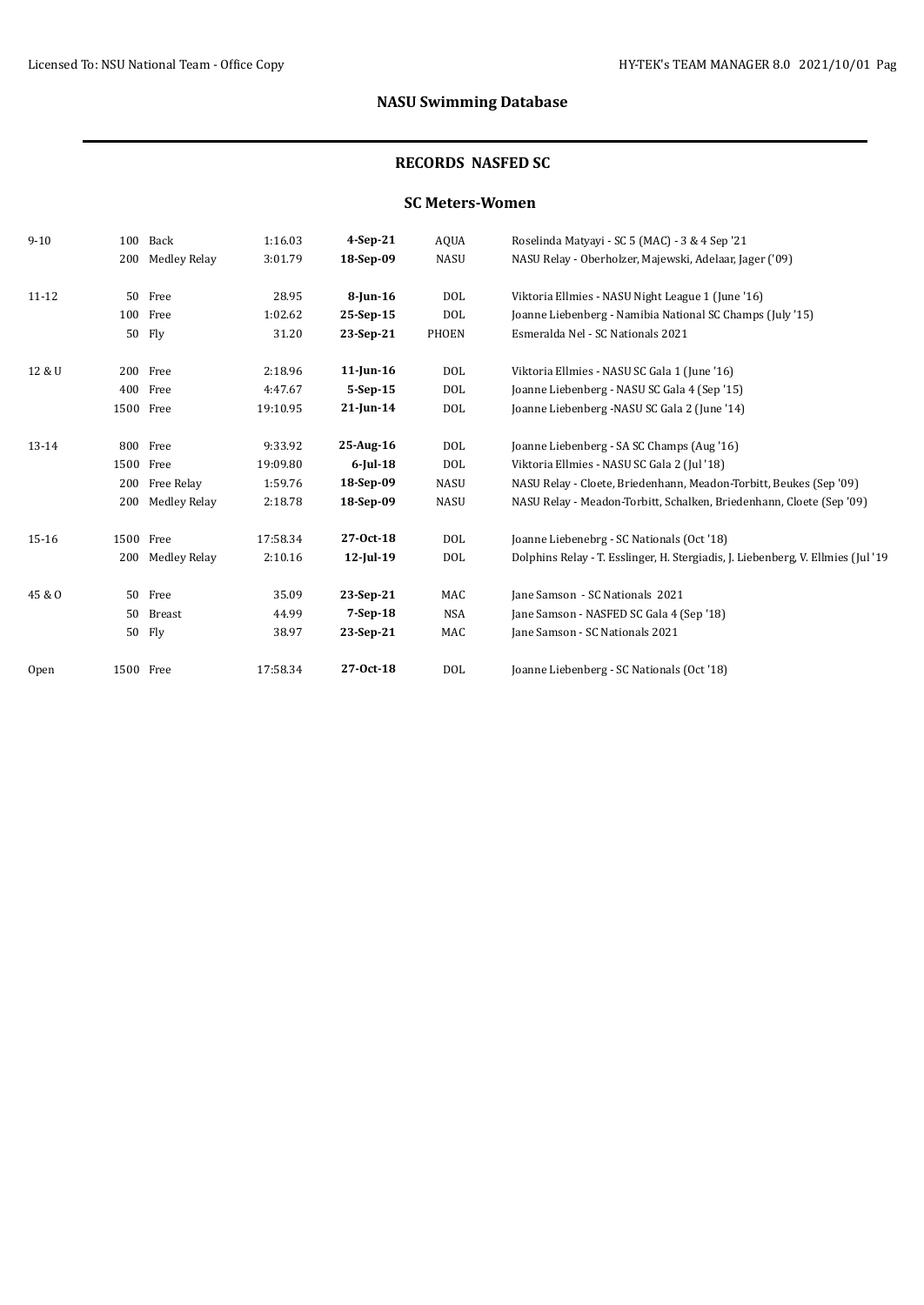# **NASU Swimming Database**

## **RECORDS NASFED SC**

### **SC Meters-Women**

| $9 - 10$  |      | 100 Back     | 1:16.03  | $4-Sep-21$   | <b>AQUA</b> | Roselinda Matyayi - SC 5 (MAC) - 3 & 4 Sep '21                                   |
|-----------|------|--------------|----------|--------------|-------------|----------------------------------------------------------------------------------|
|           | 200  | Medley Relay | 3:01.79  | 18-Sep-09    | <b>NASU</b> | NASU Relay - Oberholzer, Majewski, Adelaar, Jager ('09)                          |
| 11-12     | 50   | Free         | 28.95    | $8$ -Jun-16  | DOL         | Viktoria Ellmies - NASU Night League 1 (June '16)                                |
|           |      | 100 Free     | 1:02.62  | 25-Sep-15    | <b>DOL</b>  | Joanne Liebenberg - Namibia National SC Champs (July '15)                        |
|           |      | 50 Fly       | 31.20    | 23-Sep-21    | PHOEN       | Esmeralda Nel - SC Nationals 2021                                                |
| 12 & U    |      | 200 Free     | 2:18.96  | $11$ -Jun-16 | DOL         | Viktoria Ellmies - NASU SC Gala 1 (June '16)                                     |
|           |      | 400 Free     | 4:47.67  | 5-Sep-15     | DOL         | Joanne Liebenberg - NASU SC Gala 4 (Sep '15)                                     |
|           |      | 1500 Free    | 19:10.95 | $21$ -Jun-14 | DOL         | Joanne Liebenberg - NASU SC Gala 2 (June '14)                                    |
| $13 - 14$ |      | 800 Free     | 9:33.92  | 25-Aug-16    | DOL         | Joanne Liebenberg - SA SC Champs (Aug '16)                                       |
|           | 1500 | Free         | 19:09.80 | $6$ -Jul-18  | DOL         | Viktoria Ellmies - NASU SC Gala 2 (Jul '18)                                      |
|           | 200  | Free Relay   | 1:59.76  | 18-Sep-09    | <b>NASU</b> | NASU Relay - Cloete, Briedenhann, Meadon-Torbitt, Beukes (Sep '09)               |
|           | 200  | Medley Relay | 2:18.78  | 18-Sep-09    | <b>NASU</b> | NASU Relay - Meadon-Torbitt, Schalken, Briedenhann, Cloete (Sep '09)             |
| 15-16     |      | 1500 Free    | 17:58.34 | $27-0ct-18$  | DOL         | Joanne Liebenebrg - SC Nationals (Oct '18)                                       |
|           | 200  | Medley Relay | 2:10.16  | $12$ -Jul-19 | DOL         | Dolphins Relay - T. Esslinger, H. Stergiadis, J. Liebenberg, V. Ellmies (Jul '19 |
| 45 & O    | 50   | Free         | 35.09    | 23-Sep-21    | MAC         | Jane Samson - SC Nationals 2021                                                  |
|           | 50   | Breast       | 44.99    | $7-Sep-18$   | <b>NSA</b>  | Jane Samson - NASFED SC Gala 4 (Sep '18)                                         |
|           | 50   | Fly          | 38.97    | 23-Sep-21    | MAC         | Jane Samson - SC Nationals 2021                                                  |
| Open      |      | 1500 Free    | 17:58.34 | 27-0ct-18    | DOL         | Joanne Liebenberg - SC Nationals (Oct '18)                                       |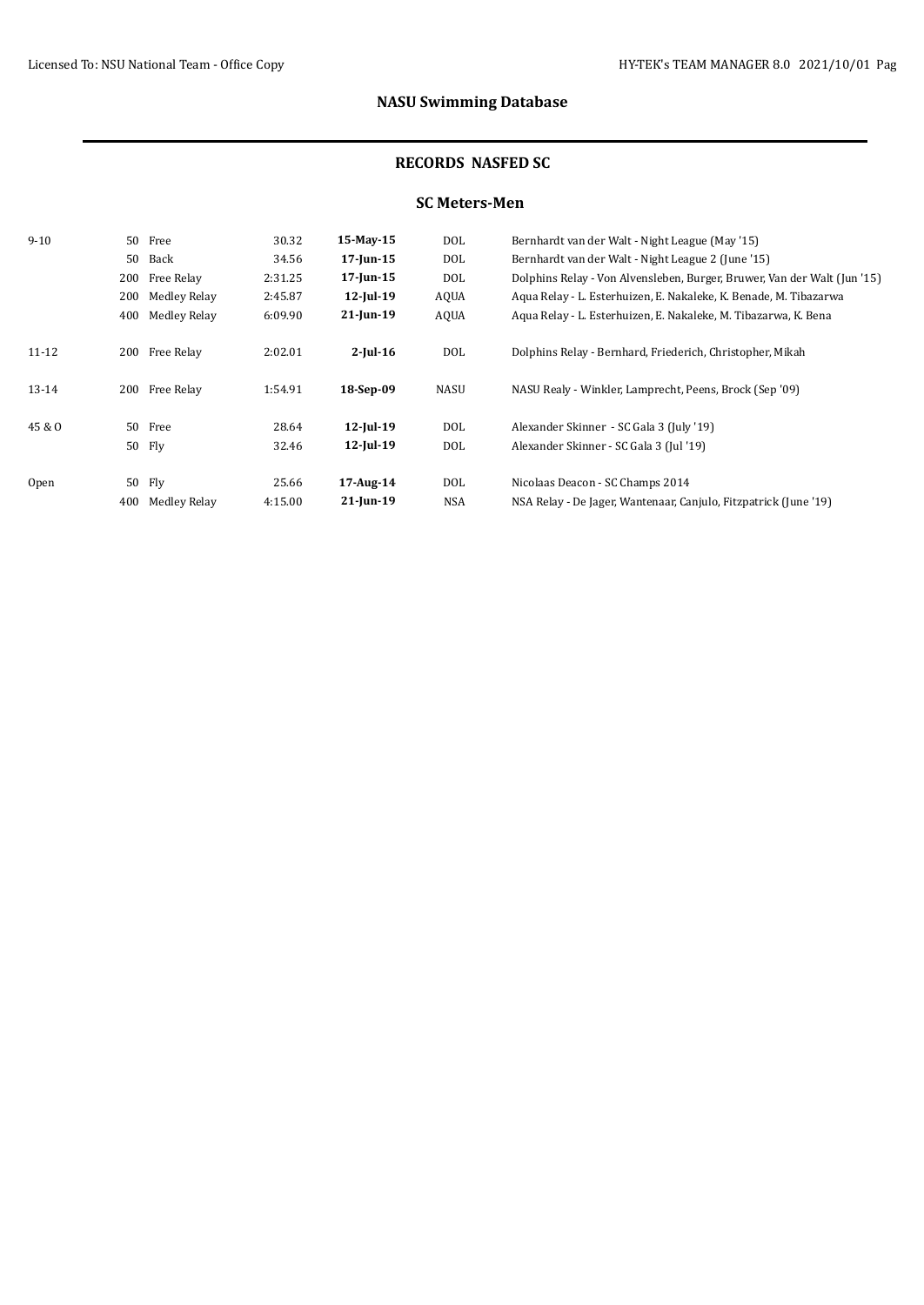# **NASU Swimming Database**

#### **RECORDS NASFED SC**

### **SC Meters-Men**

| $9 - 10$  |        | 50 Free      | 30.32   | 15-May-15       | DOL        | Bernhardt van der Walt - Night League (May '15)                          |
|-----------|--------|--------------|---------|-----------------|------------|--------------------------------------------------------------------------|
|           | 50     | Back         | 34.56   | $17$ -Jun- $15$ | DOL        | Bernhardt van der Walt - Night League 2 (June '15)                       |
|           | 200    | Free Relay   | 2:31.25 | $17$ -Jun- $15$ | DOL        | Dolphins Relay - Von Alvensleben, Burger, Bruwer, Van der Walt (Jun '15) |
|           | 200    | Medley Relay | 2:45.87 | $12$ -Jul-19    | AQUA       | Aqua Relay - L. Esterhuizen, E. Nakaleke, K. Benade, M. Tibazarwa        |
|           | 400    | Medley Relay | 6:09.90 | $21$ -Jun-19    | AQUA       | Aqua Relay - L. Esterhuizen, E. Nakaleke, M. Tibazarwa, K. Bena          |
| $11 - 12$ | 200    | Free Relay   | 2:02.01 | $2$ -Jul-16     | DOL        | Dolphins Relay - Bernhard, Friederich, Christopher, Mikah                |
| $13 - 14$ | 200    | Free Relay   | 1:54.91 | 18-Sep-09       | NASU       | NASU Realy - Winkler, Lamprecht, Peens, Brock (Sep '09)                  |
| 45 & O    |        | 50 Free      | 28.64   | $12$ -Jul-19    | <b>DOL</b> | Alexander Skinner - SC Gala 3 (July '19)                                 |
|           | 50 Fly |              | 32.46   | $12$ -Jul-19    | DOL        | Alexander Skinner - SC Gala 3 (Jul '19)                                  |
| Open      | 50 Fly |              | 25.66   | 17-Aug-14       | DOL        | Nicolaas Deacon - SC Champs 2014                                         |
|           | 400    | Medley Relay | 4:15.00 | $21$ -Jun-19    | NSA        | NSA Relay - De Jager, Wantenaar, Canjulo, Fitzpatrick (June '19)         |